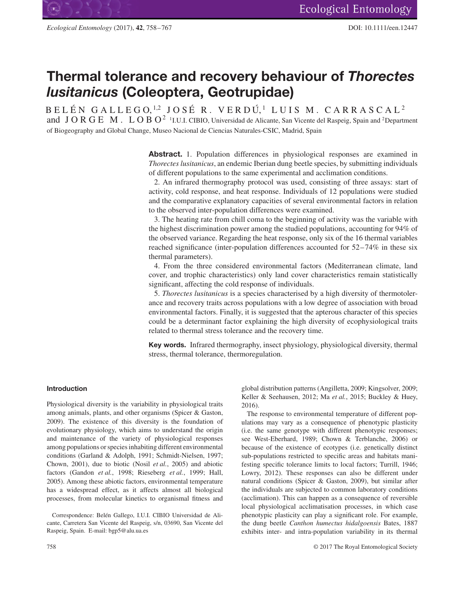

# **Thermal tolerance and recovery behaviour of** *Thorectes lusitanicus* **(Coleoptera, Geotrupidae)**

B E L É N G A L L E G O, <sup>1,2</sup> J O S É R. V E R D Ú,<sup>1</sup> L U I S M. C A R R A S C A L <sup>2</sup> and JORGE M. LOBO<sup>2</sup> <sup>1</sup>I.U.I. CIBIO, Universidad de Alicante, San Vicente del Raspeig, Spain and <sup>2</sup>Department of Biogeography and Global Change, Museo Nacional de Ciencias Naturales-CSIC, Madrid, Spain

> **Abstract.** 1. Population differences in physiological responses are examined in *Thorectes lusitanicus*, an endemic Iberian dung beetle species, by submitting individuals of different populations to the same experimental and acclimation conditions.

> 2. An infrared thermography protocol was used, consisting of three assays: start of activity, cold response, and heat response. Individuals of 12 populations were studied and the comparative explanatory capacities of several environmental factors in relation to the observed inter-population differences were examined.

> 3. The heating rate from chill coma to the beginning of activity was the variable with the highest discrimination power among the studied populations, accounting for 94% of the observed variance. Regarding the heat response, only six of the 16 thermal variables reached significance (inter-population differences accounted for 52–74% in these six thermal parameters).

> 4. From the three considered environmental factors (Mediterranean climate, land cover, and trophic characteristics) only land cover characteristics remain statistically significant, affecting the cold response of individuals.

> 5. *Thorectes lusitanicus* is a species characterised by a high diversity of thermotolerance and recovery traits across populations with a low degree of association with broad environmental factors. Finally, it is suggested that the apterous character of this species could be a determinant factor explaining the high diversity of ecophysiological traits related to thermal stress tolerance and the recovery time.

> **Key words.** Infrared thermography, insect physiology, physiological diversity, thermal stress, thermal tolerance, thermoregulation.

## **Introduction**

Physiological diversity is the variability in physiological traits among animals, plants, and other organisms (Spicer & Gaston, 2009). The existence of this diversity is the foundation of evolutionary physiology, which aims to understand the origin and maintenance of the variety of physiological responses among populations or species inhabiting different environmental conditions (Garland & Adolph, 1991; Schmidt-Nielsen, 1997; Chown, 2001), due to biotic (Nosil *et al.*, 2005) and abiotic factors (Gandon *et al.*, 1998; Rieseberg *et al.*, 1999; Hall, 2005). Among these abiotic factors, environmental temperature has a widespread effect, as it affects almost all biological processes, from molecular kinetics to organismal fitness and

Correspondence: Belén Gallego, I.U.I. CIBIO Universidad de Alicante, Carretera San Vicente del Raspeig, s/n, 03690, San Vicente del Raspeig, Spain. E-mail: bgp5@alu.ua.es

global distribution patterns (Angilletta, 2009; Kingsolver, 2009; Keller & Seehausen, 2012; Ma *et al.*, 2015; Buckley & Huey, 2016).

The response to environmental temperature of different populations may vary as a consequence of phenotypic plasticity (i.e. the same genotype with different phenotypic responses; see West-Eberhard, 1989; Chown & Terblanche, 2006) or because of the existence of ecotypes (i.e. genetically distinct sub-populations restricted to specific areas and habitats manifesting specific tolerance limits to local factors; Turrill, 1946; Lowry, 2012). These responses can also be different under natural conditions (Spicer & Gaston, 2009), but similar after the individuals are subjected to common laboratory conditions (acclimation). This can happen as a consequence of reversible local physiological acclimatisation processes, in which case phenotypic plasticity can play a significant role. For example, the dung beetle *Canthon humectus hidalgoensis* Bates, 1887 exhibits inter- and intra-population variability in its thermal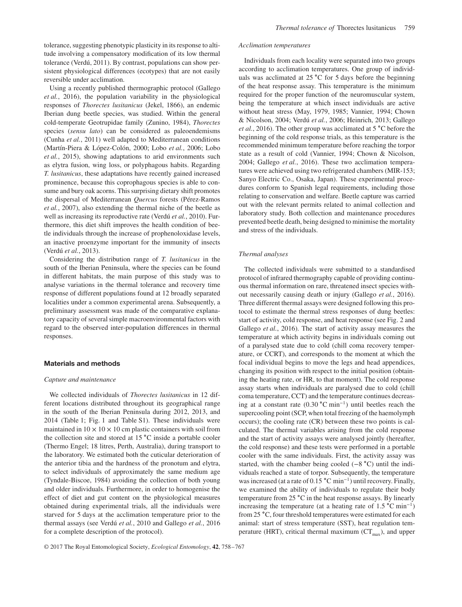tolerance, suggesting phenotypic plasticity in its response to altitude involving a compensatory modification of its low thermal tolerance (Verdú, 2011). By contrast, populations can show persistent physiological differences (ecotypes) that are not easily reversible under acclimation.

Using a recently published thermographic protocol (Gallego *et al.*, 2016), the population variability in the physiological responses of *Thorectes lusitanicus* (Jekel, 1866), an endemic Iberian dung beetle species, was studied. Within the general cold-temperate Geotrupidae family (Zunino, 1984), *Thorectes* species (*sensu lato*) can be considered as paleoendemisms (Cunha *et al.*, 2011) well adapted to Mediterranean conditions (Martín-Piera & López-Colón, 2000; Lobo *et al.*, 2006; Lobo *et al.*, 2015), showing adaptations to arid environments such as elytra fusion, wing loss, or polyphagous habits. Regarding *T. lusitanicus*, these adaptations have recently gained increased prominence, because this coprophagous species is able to consume and bury oak acorns. This surprising dietary shift promotes the dispersal of Mediterranean *Quercus* forests (Pérez-Ramos *et al.*, 2007), also extending the thermal niche of the beetle as well as increasing its reproductive rate (Verdú *et al.*, 2010). Furthermore, this diet shift improves the health condition of beetle individuals through the increase of prophenoloxidase levels, an inactive proenzyme important for the immunity of insects (Verdú *et al.*, 2013).

Considering the distribution range of *T. lusitanicus* in the south of the Iberian Peninsula, where the species can be found in different habitats, the main purpose of this study was to analyse variations in the thermal tolerance and recovery time response of different populations found at 12 broadly separated localities under a common experimental arena. Subsequently, a preliminary assessment was made of the comparative explanatory capacity of several simple macroenvironmental factors with regard to the observed inter-population differences in thermal responses.

#### **Materials and methods**

#### *Capture and maintenance*

We collected individuals of *Thorectes lusitanicus* in 12 different locations distributed throughout its geographical range in the south of the Iberian Peninsula during 2012, 2013, and 2014 (Table 1; Fig. 1 and Table S1). These individuals were maintained in  $10 \times 10 \times 10$  cm plastic containers with soil from the collection site and stored at 15 ∘C inside a portable cooler (Thermo Engel; 18 litres, Perth, Australia), during transport to the laboratory. We estimated both the cuticular deterioration of the anterior tibia and the hardness of the pronotum and elytra, to select individuals of approximately the same medium age (Tyndale-Biscoe, 1984) avoiding the collection of both young and older individuals. Furthermore, in order to homogenise the effect of diet and gut content on the physiological measures obtained during experimental trials, all the individuals were starved for 5 days at the acclimation temperature prior to the thermal assays (see Verdú *et al.*, 2010 and Gallego *et al.*, 2016 for a complete description of the protocol).

## *Acclimation temperatures*

Individuals from each locality were separated into two groups according to acclimation temperatures. One group of individuals was acclimated at 25 ∘C for 5 days before the beginning of the heat response assay. This temperature is the minimum required for the proper function of the neuromuscular system, being the temperature at which insect individuals are active without heat stress (May, 1979, 1985; Vannier, 1994; Chown & Nicolson, 2004; Verdú *et al.*, 2006; Heinrich, 2013; Gallego *et al.*, 2016). The other group was acclimated at 5 °C before the beginning of the cold response trials, as this temperature is the recommended minimum temperature before reaching the torpor state as a result of cold (Vannier, 1994; Chown & Nicolson, 2004; Gallego *et al.*, 2016). These two acclimation temperatures were achieved using two refrigerated chambers (MIR-153; Sanyo Electric Co., Osaka, Japan). These experimental procedures conform to Spanish legal requirements, including those relating to conservation and welfare. Beetle capture was carried out with the relevant permits related to animal collection and laboratory study. Both collection and maintenance procedures prevented beetle death, being designed to minimise the mortality and stress of the individuals.

#### *Thermal analyses*

The collected individuals were submitted to a standardised protocol of infrared thermography capable of providing continuous thermal information on rare, threatened insect species without necessarily causing death or injury (Gallego *et al.*, 2016). Three different thermal assays were designed following this protocol to estimate the thermal stress responses of dung beetles: start of activity, cold response, and heat response (see Fig. 2 and Gallego *et al.*, 2016). The start of activity assay measures the temperature at which activity begins in individuals coming out of a paralysed state due to cold (chill coma recovery temperature, or CCRT), and corresponds to the moment at which the focal individual begins to move the legs and head appendices, changing its position with respect to the initial position (obtaining the heating rate, or HR, to that moment). The cold response assay starts when individuals are paralysed due to cold (chill coma temperature, CCT) and the temperature continues decreasing at a constant rate (0.30 ∘C min<sup>−</sup>1) until beetles reach the supercooling point (SCP, when total freezing of the haemolymph occurs); the cooling rate (CR) between these two points is calculated. The thermal variables arising from the cold response and the start of activity assays were analysed jointly (hereafter, the cold response) and these tests were performed in a portable cooler with the same individuals. First, the activity assay was started, with the chamber being cooled (−8 ∘C) until the individuals reached a state of torpor. Subsequently, the temperature was increased (at a rate of 0.15 °C min<sup>-1</sup>) until recovery. Finally, we examined the ability of individuals to regulate their body temperature from 25 ∘C in the heat response assays. By linearly increasing the temperature (at a heating rate of 1.5 ∘C min<sup>−</sup>1) from 25 ∘C, four threshold temperatures were estimated for each animal: start of stress temperature (SST), heat regulation temperature (HRT), critical thermal maximum ( $CT<sub>max</sub>$ ), and upper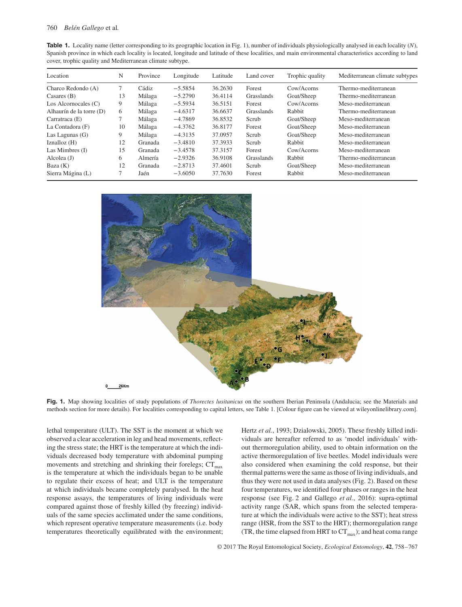| <b>Table 1.</b> Locality name (letter corresponding to its geographic location in Fig. 1), number of individuals physiologically analysed in each locality $(N)$ , |
|--------------------------------------------------------------------------------------------------------------------------------------------------------------------|
| Spanish province in which each locality is located, longitude and latitude of these localities, and main environmental characteristics according to land           |
| cover, trophic quality and Mediterranean climate subtype.                                                                                                          |

| Location                 | N  | Province | Longitude | Latitude | Land cover | Trophic quality | Mediterranean climate subtypes |
|--------------------------|----|----------|-----------|----------|------------|-----------------|--------------------------------|
| Charco Redondo (A)       |    | Cádiz    | $-5.5854$ | 36.2630  | Forest     | Cow/Acorns      | Thermo-mediterranean           |
| Casares $(B)$            | 13 | Málaga   | $-5.2790$ | 36.4114  | Grasslands | Goat/Sheep      | Thermo-mediterranean           |
| Los Alcornocales $(C)$   | 9  | Málaga   | $-5.5934$ | 36.5151  | Forest     | Cow/Acorns      | Meso-mediterranean             |
| Alhaurín de la torre (D) | 6  | Málaga   | $-4.6317$ | 36.6637  | Grasslands | Rabbit          | Thermo-mediterranean           |
| Carratraca $(E)$         |    | Málaga   | $-4.7869$ | 36.8532  | Scrub      | Goat/Sheep      | Meso-mediterranean             |
| La Contadora (F)         | 10 | Málaga   | $-4.3762$ | 36.8177  | Forest     | Goat/Sheep      | Meso-mediterranean             |
| Las Lagunas $(G)$        | 9  | Málaga   | $-4.3135$ | 37.0957  | Scrub      | Goat/Sheep      | Meso-mediterranean             |
| Iznalloz $(H)$           | 12 | Granada  | $-3.4810$ | 37.3933  | Scrub      | Rabbit          | Meso-mediterranean             |
| Las Mimbres $(I)$        | 15 | Granada  | $-3.4578$ | 37.3157  | Forest     | Cow/Acorns      | Meso-mediterranean             |
| Alcolea $(J)$            | 6  | Almería  | $-2.9326$ | 36.9108  | Grasslands | Rabbit          | Thermo-mediterranean           |
| Baza $(K)$               | 12 | Granada  | $-2.8713$ | 37.4601  | Scrub      | Goat/Sheep      | Meso-mediterranean             |
| Sierra Mágina (L)        |    | Jaén     | $-3.6050$ | 37.7630  | Forest     | Rabbit          | Meso-mediterranean             |



**Fig. 1.** Map showing localities of study populations of *Thorectes lusitanicus* on the southern Iberian Peninsula (Andalucia; see the Materials and methods section for more details). For localities corresponding to capital letters, see Table 1. [Colour figure can be viewed at [wileyonlinelibrary.com\]](wileyonlinelibrary.com).

lethal temperature (ULT). The SST is the moment at which we observed a clear acceleration in leg and head movements, reflecting the stress state; the HRT is the temperature at which the individuals decreased body temperature with abdominal pumping movements and stretching and shrinking their forelegs;  $CT_{max}$ is the temperature at which the individuals began to be unable to regulate their excess of heat; and ULT is the temperature at which individuals became completely paralysed. In the heat response assays, the temperatures of living individuals were compared against those of freshly killed (by freezing) individuals of the same species acclimated under the same conditions, which represent operative temperature measurements (i.e. body temperatures theoretically equilibrated with the environment; Hertz *et al.*, 1993; Dzialowski, 2005). These freshly killed individuals are hereafter referred to as 'model individuals' without thermoregulation ability, used to obtain information on the active thermoregulation of live beetles. Model individuals were also considered when examining the cold response, but their thermal patterns were the same as those of living individuals, and thus they were not used in data analyses (Fig. 2). Based on these four temperatures, we identified four phases or ranges in the heat response (see Fig. 2 and Gallego *et al.*, 2016): supra-optimal activity range (SAR, which spans from the selected temperature at which the individuals were active to the SST); heat stress range (HSR, from the SST to the HRT); thermoregulation range (TR, the time elapsed from HRT to  $CT_{max}$ ); and heat coma range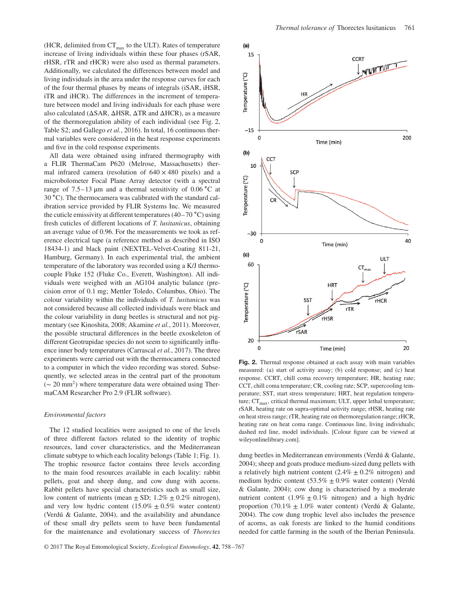(HCR, delimited from  $CT_{max}$  to the ULT). Rates of temperature increase of living individuals within these four phases (rSAR, rHSR, rTR and rHCR) were also used as thermal parameters. Additionally, we calculated the differences between model and living individuals in the area under the response curves for each of the four thermal phases by means of integrals (iSAR, iHSR, iTR and iHCR). The differences in the increment of temperature between model and living individuals for each phase were also calculated (ΔSAR, ΔHSR, ΔTR and ΔHCR), as a measure of the thermoregulation ability of each individual (see Fig. 2, Table S2; and Gallego *et al.*, 2016). In total, 16 continuous thermal variables were considered in the heat response experiments and five in the cold response experiments.

All data were obtained using infrared thermography with a FLIR ThermaCam P620 (Melrose, Massachusetts) thermal infrared camera (resolution of  $640 \times 480$  pixels) and a microbolometer Focal Plane Array detector (with a spectral range of 7.5–13 μm and a thermal sensitivity of 0.06 ∘C at 30 ∘C). The thermocamera was calibrated with the standard calibration service provided by FLIR Systems Inc. We measured the cuticle emissivity at different temperatures (40–70 ∘C) using fresh cuticles of different locations of *T. lusitanicus*, obtaining an average value of 0.96. For the measurements we took as reference electrical tape (a reference method as described in ISO 18434-1) and black paint (NEXTEL-Velvet-Coating 811-21, Hamburg, Germany). In each experimental trial, the ambient temperature of the laboratory was recorded using a K/J thermocouple Fluke 152 (Fluke Co., Everett, Washington). All individuals were weighed with an AG104 analytic balance (precision error of 0.1 mg; Mettler Toledo, Columbus, Ohio). The colour variability within the individuals of *T. lusitanicus* was not considered because all collected individuals were black and the colour variability in dung beetles is structural and not pigmentary (see Kinoshita, 2008; Akamine *et al.*, 2011). Moreover, the possible structural differences in the beetle exoskeleton of different Geotrupidae species do not seem to significantly influence inner body temperatures (Carrascal *et al.*, 2017). The three experiments were carried out with the thermocamera connected to a computer in which the video recording was stored. Subsequently, we selected areas in the central part of the pronotum  $({\sim 20 \text{ mm}^2})$  where temperature data were obtained using ThermaCAM Researcher Pro 2.9 (FLIR software).

#### *Environmental factors*

The 12 studied localities were assigned to one of the levels of three different factors related to the identity of trophic resources, land cover characteristics, and the Mediterranean climate subtype to which each locality belongs (Table 1; Fig. 1). The trophic resource factor contains three levels according to the main food resources available in each locality: rabbit pellets, goat and sheep dung, and cow dung with acorns. Rabbit pellets have special characteristics such as small size, low content of nutrients (mean  $\pm$  SD; 1.2%  $\pm$  0.2% nitrogen), and very low hydric content  $(15.0\% \pm 0.5\%$  water content) (Verdú & Galante, 2004), and the availability and abundance of these small dry pellets seem to have been fundamental for the maintenance and evolutionary success of *Thorectes*



**Fig. 2.** Thermal response obtained at each assay with main variables measured: (a) start of activity assay; (b) cold response; and (c) heat response. CCRT, chill coma recovery temperature; HR, heating rate; CCT, chill coma temperature; CR, cooling rate; SCP, supercooling temperature; SST, start stress temperature; HRT, heat regulation temperature;  $CT_{max}$ , critical thermal maximum; ULT, upper lethal temperature; rSAR, heating rate on supra-optimal activity range; rHSR, heating rate on heat stress range; rTR, heating rate on thermoregulation range; rHCR, heating rate on heat coma range. Continuous line, living individuals; dashed red line, model individuals. [Colour figure can be viewed at [wileyonlinelibrary.com\]](wileyonlinelibrary.com).

dung beetles in Mediterranean environments (Verdú & Galante, 2004); sheep and goats produce medium-sized dung pellets with a relatively high nutrient content  $(2.4\% \pm 0.2\%$  nitrogen) and medium hydric content  $(53.5\% \pm 0.9\%$  water content) (Verdú & Galante, 2004); cow dung is characterised by a moderate nutrient content  $(1.9\% \pm 0.1\%$  nitrogen) and a high hydric proportion (70.1%  $\pm$  1.0% water content) (Verdú & Galante, 2004). The cow dung trophic level also includes the presence of acorns, as oak forests are linked to the humid conditions needed for cattle farming in the south of the Iberian Peninsula.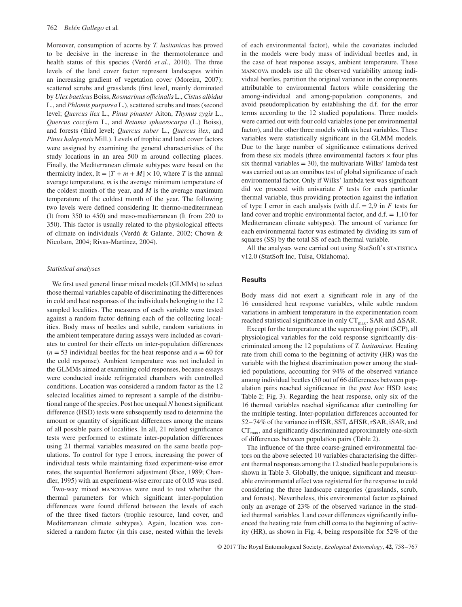Moreover, consumption of acorns by *T. lusitanicus* has proved to be decisive in the increase in the thermotolerance and health status of this species (Verdú *et al.*, 2010). The three levels of the land cover factor represent landscapes within an increasing gradient of vegetation cover (Moreira, 2007): scattered scrubs and grasslands (first level, mainly dominated by *Ulex baeticus* Boiss, *Rosmarinus officinalis* L., *Cistus albidus* L., and *Phlomis purpurea* L.), scattered scrubs and trees (second level; *Quercus ilex* L., *Pinus pinaster* Aiton, *Thymus zygis* L., *Quercus coccifera* L., and *Retama sphaerocarpa* (L.) Boiss), and forests (third level; *Quercus suber* L., *Quercus ilex*, and *Pinus halepensis* Mill.). Levels of trophic and land cover factors were assigned by examining the general characteristics of the study locations in an area 500 m around collecting places. Finally, the Mediterranean climate subtypes were based on the thermicity index, It =  $[T + m + M] \times 10$ , where *T* is the annual average temperature, *m* is the average minimum temperature of the coldest month of the year, and *M* is the average maximum temperature of the coldest month of the year. The following two levels were defined considering It: thermo-mediterranean (It from 350 to 450) and meso-mediterranean (It from 220 to 350). This factor is usually related to the physiological effects of climate on individuals (Verdú & Galante, 2002; Chown & Nicolson, 2004; Rivas-Martínez, 2004).

## *Statistical analyses*

We first used general linear mixed models (GLMMs) to select those thermal variables capable of discriminating the differences in cold and heat responses of the individuals belonging to the 12 sampled localities. The measures of each variable were tested against a random factor defining each of the collecting localities. Body mass of beetles and subtle, random variations in the ambient temperature during assays were included as covariates to control for their effects on inter-population differences  $(n = 53$  individual beetles for the heat response and  $n = 60$  for the cold response). Ambient temperature was not included in the GLMMs aimed at examining cold responses, because essays were conducted inside refrigerated chambers with controlled conditions. Location was considered a random factor as the 12 selected localities aimed to represent a sample of the distributional range of the species. Post hoc unequal *N* honest significant difference (HSD) tests were subsequently used to determine the amount or quantity of significant differences among the means of all possible pairs of localities. In all, 21 related significance tests were performed to estimate inter-population differences using 21 thermal variables measured on the same beetle populations. To control for type I errors, increasing the power of individual tests while maintaining fixed experiment-wise error rates, the sequential Bonferroni adjustment (Rice, 1989; Chandler, 1995) with an experiment-wise error rate of 0.05 was used.

Two-way mixed mancovas were used to test whether the thermal parameters for which significant inter-population differences were found differed between the levels of each of the three fixed factors (trophic resource, land cover, and Mediterranean climate subtypes). Again, location was considered a random factor (in this case, nested within the levels of each environmental factor), while the covariates included in the models were body mass of individual beetles and, in the case of heat response assays, ambient temperature. These mancova models use all the observed variability among individual beetles, partition the original variance in the components attributable to environmental factors while considering the among-individual and among-population components, and avoid pseudoreplication by establishing the d.f. for the error terms according to the 12 studied populations. Three models were carried out with four cold variables (one per environmental factor), and the other three models with six heat variables. These variables were statistically significant in the GLMM models. Due to the large number of significance estimations derived from these six models (three environmental factors  $\times$  four plus six thermal variables  $= 30$ , the multivariate Wilks' lambda test was carried out as an omnibus test of global significance of each environmental factor. Only if Wilks' lambda test was significant did we proceed with univariate *F* tests for each particular thermal variable, thus providing protection against the inflation of type I error in each analysis (with  $d.f. = 2.9$  in *F* tests for land cover and trophic environmental factor, and  $d.f. = 1,10$  for Mediterranean climate subtypes). The amount of variance for each environmental factor was estimated by dividing its sum of squares (SS) by the total SS of each thermal variable.

All the analyses were carried out using StatSoft's STATISTICA v12.0 (StatSoft Inc, Tulsa, Oklahoma).

## **Results**

Body mass did not exert a significant role in any of the 16 considered heat response variables, while subtle random variations in ambient temperature in the experimentation room reached statistical significance in only  $CT_{max}$ , SAR and  $\Delta$ SAR.

Except for the temperature at the supercooling point (SCP), all physiological variables for the cold response significantly discriminated among the 12 populations of *T. lusitanicus*. Heating rate from chill coma to the beginning of activity (HR) was the variable with the highest discrimination power among the studied populations, accounting for 94% of the observed variance among individual beetles (50 out of 66 differences between population pairs reached significance in the *post hoc* HSD tests; Table 2; Fig. 3). Regarding the heat response, only six of the 16 thermal variables reached significance after controlling for the multiple testing. Inter-population differences accounted for 52–74% of the variance in rHSR, SST, ΔHSR, rSAR, iSAR, and  $CT<sub>max</sub>$ , and significantly discriminated approximately one-sixth of differences between population pairs (Table 2).

The influence of the three coarse-grained environmental factors on the above selected 10 variables characterising the different thermal responses among the 12 studied beetle populations is shown in Table 3. Globally, the unique, significant and measurable environmental effect was registered for the response to cold considering the three landscape categories (grasslands, scrub, and forests). Nevertheless, this environmental factor explained only an average of 23% of the observed variance in the studied thermal variables. Land cover differences significantly influenced the heating rate from chill coma to the beginning of activity (HR), as shown in Fig. 4, being responsible for 52% of the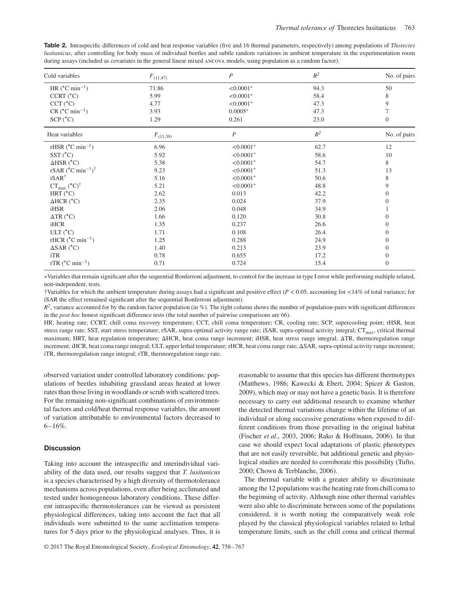**Table 2.** Intraspecific differences of cold and heat response variables (five and 16 thermal parameters, respectively) among populations of *Thorectes lusitanicus*, after controlling for body mass of individual beetles and subtle random variations in ambient temperature in the experimentation room during assays (included as covariates in the general linear mixed ancova models, using population as a random factor).

| Cold variables                                       | $F_{(11,47)}$ | $\boldsymbol{P}$ | $R^2$          | No. of pairs     |
|------------------------------------------------------|---------------|------------------|----------------|------------------|
| HR $(^{\circ}C \text{ min}^{-1})$                    | 71.86         | $< 0.0001*$      | 94.3           | 50               |
| CCRT (°C)                                            | 5.99          | $< 0.0001$ *     | 58.4           | 8                |
| $CCT$ ( $^{\circ}C$ )                                | 4.77          | $< 0.0001*$      | 47.3           | 9                |
| $CR$ ( $°C$ min <sup>-1</sup> )                      | 3.93          | $0.0005*$        | 47.3           | 7                |
| SCP (°C)                                             | 1.29          | 0.261            | 23.0           | $\overline{0}$   |
| Heat variables                                       | $F_{(11,39)}$ | $\boldsymbol{P}$ | $\mathbb{R}^2$ | No. of pairs     |
| rHSR $(^{\circ}C \text{ min}^{-1})$                  | 6.96          | $< 0.0001*$      | 62.7           | 12               |
| $SST(^{\circ}C)$                                     | 5.92          | $< 0.0001$ *     | 58.6           | 10               |
| $\triangle$ HSR (°C)                                 | 5.38          | $< 0.0001*$      | 54.7           | 8                |
| rSAR ( $^{\circ}$ C min <sup>-1</sup> ) <sup>†</sup> | 9.23          | $< 0.0001*$      | 51.3           | 13               |
| $iSAR^{\dagger}$                                     | 5.16          | $< 0.0001$ *     | 50.6           | 8                |
| $CT_{\text{max}}$ (°C) <sup>†</sup>                  | 5.21          | $< 0.0001*$      | 48.8           | 9                |
| HRT $(^{\circ}C)$                                    | 2.62          | 0.013            | 42.2           | $\overline{0}$   |
| $\triangle HCR$ ( $^{\circ}C$ )                      | 2.35          | 0.024            | 37.9           | $\overline{0}$   |
| iHSR                                                 | 2.06          | 0.048            | 34.9           |                  |
| $\Delta TR$ ( $^{\circ}$ C)                          | 1.66          | 0.120            | 30.8           | $\overline{0}$   |
| iHCR                                                 | 1.35          | 0.237            | 26.6           | $\overline{0}$   |
| ULT (°C)                                             | 1.71          | 0.108            | 26.4           | $\overline{0}$   |
| rHCR $(^{\circ}C \text{ min}^{-1})$                  | 1.25          | 0.288            | 24.9           | $\overline{0}$   |
| $\triangle$ SAR (°C)                                 | 1.40          | 0.213            | 23.9           | $\overline{0}$   |
| iTR                                                  | 0.78          | 0.655            | 17.2           | $\boldsymbol{0}$ |
| rTR $(^{\circ}C \text{ min}^{-1})$                   | 0.71          | 0.724            | 15.4           | $\overline{0}$   |

∗Variables that remain significant after the sequential Bonferroni adjustment, to control for the increase in type I error while performing multiple related, non-independent, tests.

†Variables for which the ambient temperature during assays had a significant and positive effect (*P <* 0.05, accounting for *<*14% of total variance; for iSAR the effect remained significant after the sequential Bonferroni adjustment).

 $R^2$ , variance accounted for by the random factor population (in %). The right column shows the number of population-pairs with significant differences in the *post hoc* honest significant difference tests (the total number of pairwise comparisons are 66).

HR, heating rate; CCRT, chill coma recovery temperature; CCT, chill coma temperature; CR, cooling rate; SCP, supercooling point; rHSR, heat stress range rate; SST, start stress temperature; rSAR, supra-optimal activity range rate; iSAR, supra-optimal activity integral; CT<sub>max</sub>, critical thermal maximum; HRT, heat regulation temperature; ΔHCR, heat coma range increment; iHSR, heat stress range integral; ΔTR, thermoregulation range increment; iHCR, heat coma range integral; ULT, upper lethal temperature; rHCR, heat coma range rate; ΔSAR, supra-optimal activity range increment; iTR, thermoregulation range integral; rTR, thermoregulation range rate.

observed variation under controlled laboratory conditions: populations of beetles inhabiting grassland areas heated at lower rates than those living in woodlands or scrub with scattered trees. For the remaining non-significant combinations of environmental factors and cold/heat thermal response variables, the amount of variation attributable to environmental factors decreased to  $6 - 16\%$ .

# **Discussion**

Taking into account the intraspecific and interindividual variability of the data used, our results suggest that *T. lusitanicus* is a species characterised by a high diversity of thermotolerance mechanisms across populations, even after being acclimated and tested under homogeneous laboratory conditions. These different intraspecific thermotolerances can be viewed as persistent physiological differences, taking into account the fact that all individuals were submitted to the same acclimation temperatures for 5 days prior to the physiological analyses. Thus, it is reasonable to assume that this species has different thermotypes (Matthews, 1986; Kawecki & Ebert, 2004; Spicer & Gaston, 2009), which may or may not have a genetic basis. It is therefore necessary to carry out additional research to examine whether the detected thermal variations change within the lifetime of an individual or along successive generations when exposed to different conditions from those prevailing in the original habitat (Fischer *et al.*, 2003, 2006; Rako & Hoffmann, 2006). In that case we should expect local adaptations of plastic phenotypes that are not easily reversible, but additional genetic and physiological studies are needed to corroborate this possibility (Tufto, 2000; Chown & Terblanche, 2006).

The thermal variable with a greater ability to discriminate among the 12 populations was the heating rate from chill coma to the beginning of activity. Although nine other thermal variables were also able to discriminate between some of the populations considered, it is worth noting the comparatively weak role played by the classical physiological variables related to lethal temperature limits, such as the chill coma and critical thermal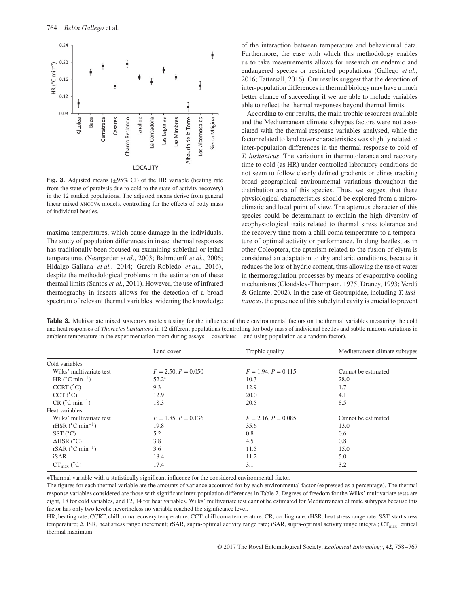

**Fig. 3.** Adjusted means ( $\pm$ 95% CI) of the HR variable (heating rate from the state of paralysis due to cold to the state of activity recovery) in the 12 studied populations. The adjusted means derive from general linear mixed ancova models, controlling for the effects of body mass of individual beetles.

maxima temperatures, which cause damage in the individuals. The study of population differences in insect thermal responses has traditionally been focused on examining sublethal or lethal temperatures (Neargarder *et al.*, 2003; Bahrndorff *et al.*, 2006; Hidalgo-Galiana *et al.*, 2014; García-Robledo *et al.*, 2016), despite the methodological problems in the estimation of these thermal limits (Santos *et al.*, 2011). However, the use of infrared thermography in insects allows for the detection of a broad spectrum of relevant thermal variables, widening the knowledge of the interaction between temperature and behavioural data. Furthermore, the ease with which this methodology enables us to take measurements allows for research on endemic and endangered species or restricted populations (Gallego *et al.*, 2016; Tattersall, 2016). Our results suggest that the detection of inter-population differences in thermal biology may have a much better chance of succeeding if we are able to include variables able to reflect the thermal responses beyond thermal limits.

According to our results, the main trophic resources available and the Mediterranean climate subtypes factors were not associated with the thermal response variables analysed, while the factor related to land cover characteristics was slightly related to inter-population differences in the thermal response to cold of *T. lusitanicus*. The variations in thermotolerance and recovery time to cold (as HR) under controlled laboratory conditions do not seem to follow clearly defined gradients or clines tracking broad geographical environmental variations throughout the distribution area of this species. Thus, we suggest that these physiological characteristics should be explored from a microclimatic and local point of view. The apterous character of this species could be determinant to explain the high diversity of ecophysiological traits related to thermal stress tolerance and the recovery time from a chill coma temperature to a temperature of optimal activity or performance. In dung beetles, as in other Coleoptera, the apterism related to the fusion of elytra is considered an adaptation to dry and arid conditions, because it reduces the loss of hydric content, thus allowing the use of water in thermoregulation processes by means of evaporative cooling mechanisms (Cloudsley-Thompson, 1975; Draney, 1993; Verdú & Galante, 2002). In the case of Geotrupidae, including *T. lusitanicus*, the presence of this subelytral cavity is crucial to prevent

**Table 3.** Multivariate mixed mancova models testing for the influence of three environmental factors on the thermal variables measuring the cold and heat responses of *Thorectes lusitanicus* in 12 different populations (controlling for body mass of individual beetles and subtle random variations in ambient temperature in the experimentation room during assays – covariates – and using population as a random factor).

|                                         | Land cover            | Trophic quality       | Mediterranean climate subtypes |  |
|-----------------------------------------|-----------------------|-----------------------|--------------------------------|--|
| Cold variables                          |                       |                       |                                |  |
| Wilks' multivariate test                | $F = 2.50, P = 0.050$ | $F = 1.94, P = 0.115$ | Cannot be estimated            |  |
| HR $(^{\circ}C \text{ min}^{-1})$       | $52.2*$               | 10.3                  | 28.0                           |  |
| CCRT (°C)                               | 9.3                   | 12.9                  | 1.7                            |  |
| $CCT$ ( $^{\circ}C$ )                   | 12.9                  | 20.0                  | 4.1                            |  |
| $CR$ ( $^{\circ}$ C min <sup>-1</sup> ) | 18.3                  | 20.5                  | 8.5                            |  |
| Heat variables                          |                       |                       |                                |  |
| Wilks' multivariate test                | $F = 1.85, P = 0.136$ | $F = 2.16, P = 0.085$ | Cannot be estimated            |  |
| rHSR $(^{\circ}C \text{ min}^{-1})$     | 19.8                  | 35.6                  | 13.0                           |  |
| $SST(^{\circ}C)$                        | 5.2                   | 0.8                   | 0.6                            |  |
| $\triangle$ HSR (°C)                    | 3.8                   | 4.5                   | 0.8                            |  |
| rSAR $(^{\circ}C \text{ min}^{-1})$     | 3.6                   | 11.5                  | 15.0                           |  |
| iSAR                                    | 18.4                  | 11.2                  | 5.0                            |  |
| $CT_{\text{max}}$ (°C)                  | 17.4                  | 3.1                   | 3.2                            |  |

∗Thermal variable with a statistically significant influence for the considered environmental factor.

The figures for each thermal variable are the amounts of variance accounted for by each environmental factor (expressed as a percentage). The thermal response variables considered are those with significant inter-population differences in Table 2. Degrees of freedom for the Wilks' multivariate tests are eight, 18 for cold variables, and 12, 14 for heat variables. Wilks' multivariate test cannot be estimated for Mediterranean climate subtypes because this factor has only two levels; nevertheless no variable reached the significance level.

HR, heating rate; CCRT, chill coma recovery temperature; CCT, chill coma temperature; CR, cooling rate; rHSR, heat stress range rate; SST, start stress temperature; ΔHSR, heat stress range increment; rSAR, supra-optimal activity range rate; iSAR, supra-optimal activity range integral; CT<sub>max</sub>, critical thermal maximum.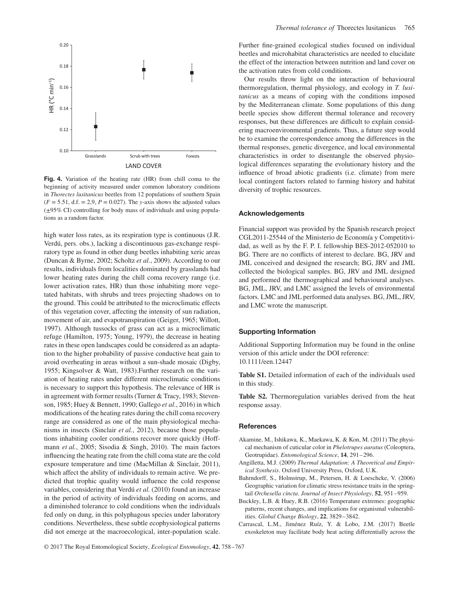

**Fig. 4.** Variation of the heating rate (HR) from chill coma to the beginning of activity measured under common laboratory conditions in *Thorectes lusitanicus* beetles from 12 populations of southern Spain  $(F = 5.51, d.f. = 2.9, P = 0.027)$ . The *y*-axis shows the adjusted values (±95% CI) controlling for body mass of individuals and using populations as a random factor.

high water loss rates, as its respiration type is continuous (J.R. Verdú, pers. obs.), lacking a discontinuous gas-exchange respiratory type as found in other dung beetles inhabiting xeric areas (Duncan & Byrne, 2002; Scholtz *et al.*, 2009). According to our results, individuals from localities dominated by grasslands had lower heating rates during the chill coma recovery range (i.e. lower activation rates, HR) than those inhabiting more vegetated habitats, with shrubs and trees projecting shadows on to the ground. This could be attributed to the microclimatic effects of this vegetation cover, affecting the intensity of sun radiation, movement of air, and evapotranspiration (Geiger, 1965; Willott, 1997). Although tussocks of grass can act as a microclimatic refuge (Hamilton, 1975; Young, 1979), the decrease in heating rates in these open landscapes could be considered as an adaptation to the higher probability of passive conductive heat gain to avoid overheating in areas without a sun-shade mosaic (Digby, 1955; Kingsolver & Watt, 1983).Further research on the variation of heating rates under different microclimatic conditions is necessary to support this hypothesis. The relevance of HR is in agreement with former results (Turner & Tracy, 1983; Stevenson, 1985; Huey & Bennett, 1990; Gallego *et al.*, 2016) in which modifications of the heating rates during the chill coma recovery range are considered as one of the main physiological mechanisms in insects (Sinclair *et al.*, 2012), because those populations inhabiting cooler conditions recover more quickly (Hoffmann *et al.*, 2005; Sisodia & Singh, 2010). The main factors influencing the heating rate from the chill coma state are the cold exposure temperature and time (MacMillan & Sinclair, 2011), which affect the ability of individuals to remain active. We predicted that trophic quality would influence the cold response variables, considering that Verdú *et al.* (2010) found an increase in the period of activity of individuals feeding on acorns, and a diminished tolerance to cold conditions when the individuals fed only on dung, in this polyphagous species under laboratory conditions. Nevertheless, these subtle ecophysiological patterns did not emerge at the macroecological, inter-population scale.

Further fine-grained ecological studies focused on individual beetles and microhabitat characteristics are needed to elucidate the effect of the interaction between nutrition and land cover on the activation rates from cold conditions.

Our results throw light on the interaction of behavioural thermoregulation, thermal physiology, and ecology in *T. lusitanicus* as a means of coping with the conditions imposed by the Mediterranean climate. Some populations of this dung beetle species show different thermal tolerance and recovery responses, but these differences are difficult to explain considering macroenvironmental gradients. Thus, a future step would be to examine the correspondence among the differences in the thermal responses, genetic divergence, and local environmental characteristics in order to disentangle the observed physiological differences separating the evolutionary history and the influence of broad abiotic gradients (i.e. climate) from mere local contingent factors related to farming history and habitat diversity of trophic resources.

#### **Acknowledgements**

Financial support was provided by the Spanish research project CGL2011-25544 of the Ministerio de Economía y Competitividad, as well as by the F. P. I. fellowship BES-2012-052010 to BG. There are no conflicts of interest to declare. BG, JRV and JML conceived and designed the research; BG, JRV and JML collected the biological samples. BG, JRV and JML designed and performed the thermographical and behavioural analyses. BG, JML, JRV, and LMC assigned the levels of environmental factors. LMC and JML performed data analyses. BG, JML, JRV, and LMC wrote the manuscript.

### **Supporting Information**

Additional Supporting Information may be found in the online version of this article under the DOI reference: 10.1111/een.12447

**Table S1.** Detailed information of each of the individuals used in this study.

**Table S2.** Thermoregulation variables derived from the heat response assay.

#### **References**

- Akamine, M., Ishikawa, K., Maekawa, K. & Kon, M. (2011) The physical mechanism of cuticular color in *Phelotrupes auratus* (Coleoptera, Geotrupidae). *Entomological Science*, **14**, 291–296.
- Angilletta, M.J. (2009) *Thermal Adaptation: A Theoretical and Empirical Synthesis*. Oxford University Press, Oxford, U.K.
- Bahrndorff, S., Holmstrup, M., Petersen, H. & Loeschcke, V. (2006) Geographic variation for climatic stress resistance traits in the springtail *Orchesella cincta*. *Journal of Insect Physiology*, **52**, 951–959.
- Buckley, L.B. & Huey, R.B. (2016) Temperature extremes: geographic patterns, recent changes, and implications for organismal vulnerabilities. *Global Change Biology*, **22**, 3829–3842.
- Carrascal, L.M., Jiménez Ruíz, Y. & Lobo, J.M. (2017) Beetle exoskeleton may facilitate body heat acting differentially across the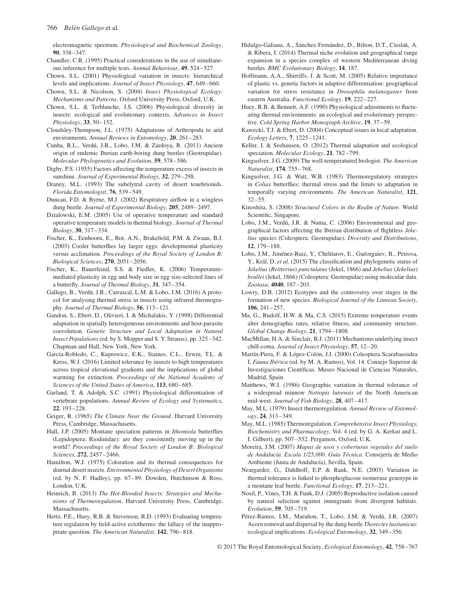electromagnetic spectrum. *Physiological and Biochemical Zoology*, **90**, 338–347.

- Chandler, C.R. (1995) Practical considerations in the use of simultaneous inference for multiple tests. *Animal Behaviour*, **49**, 524–527.
- Chown, S.L. (2001) Physiological variation in insects: hierarchical levels and implications. *Journal of Insect Physiology*, **47**, 649–660.
- Chown, S.L. & Nicolson, S. (2004) *Insect Physiological Ecology: Mechanisms and Patterns*. Oxford University Press, Oxford, U.K.
- Chown, S.L. & Terblanche, J.S. (2006) Physiological diversity in insects: ecological and evolutionary contexts. *Advances in Insect Physiology*, **33**, 50–152.
- Cloudsley-Thompson, J.L. (1975) Adaptations of Arthropoda to arid environments. *Annual Reviews in Entomology*, **20**, 261–283.
- Cunha, R.L., Verdú, J.R., Lobo, J.M. & Zardoya, R. (2011) Ancient origin of endemic Iberian earth-boring dung beetles (Geotrupidae). *Molecular Phylogenetics and Evolution*, **59**, 578–586.
- Digby, P.S. (1955) Factors affecting the temperature excess of insects in sunshine. *Journal of Experimental Biology*, **32**, 279–298.
- Draney, M.L. (1993) The subelytral cavity of desert tenebrionids. *Florida Entomologist*, **76**, 539–549.
- Duncan, F.D. & Byrne, M.J. (2002) Respiratory airflow in a wingless dung beetle. *Journal of Experimental Biology*, **205**, 2489–2497.
- Dzialowski, E.M. (2005) Use of operative temperature and standard operative temperature models in thermal biology. *Journal of Thermal Biology*, **30**, 317–334.
- Fischer, K., Eenhoorn, E., Bot, A.N., Brakefield, P.M. & Zwaan, B.J. (2003) Cooler butterflies lay larger eggs: developmental plasticity versus acclimation. *Proceedings of the Royal Society of London B: Biological Sciences*, **270**, 2051–2056.
- Fischer, K., Bauerfeind, S.S. & Fiedler, K. (2006) Temperaturemediated plasticity in egg and body size in egg size-selected lines of a butterfly. *Journal of Thermal Biology*, **31**, 347–354.
- Gallego, B., Verdú, J.R., Carrascal, L.M. & Lobo, J.M. (2016) A protocol for analysing thermal stress in insects using infrared thermography. *Journal of Thermal Biology*, **56**, 113–121.
- Gandon, S., Ebert, D., Olivieri, I. & Michalakis, Y. (1998) Differential adaptation in spatially heterogeneous environments and host-parasite coevolution. *Genetic Structure and Local Adaptation in Natural Insect Populations*(ed. by S. Mopper and S. Y. Strauss), pp. 325–342. Chapman and Hall, New York, New York.
- García-Robledo, C., Kuprewicz, E.K., Staines, C.L., Erwin, T.L. & Kress, W.J. (2016) Limited tolerance by insects to high temperatures across tropical elevational gradients and the implications of global warming for extinction. *Proceedings of the National Academy of Sciences of the United States of America*, **113**, 680–685.
- Garland, T. & Adolph, S.C. (1991) Physiological differentiation of vertebrate populations. *Annual Review of Ecology and Systematics*, **22**, 193–228.
- Geiger, R. (1965) *The Climate Near the Ground*. Harvard University Press, Cambridge, Massachusetts.
- Hall, J.P. (2005) Montane speciation patterns in *Ithomiola* butterflies (Lepidoptera: Riodinidae): are they consistently moving up in the world? *Proceedings of the Royal Society of London B: Biological Sciences*, **272**, 2457–2466.
- Hamilton, W.J. (1975) Coloration and its thermal consequences for diurnal desert insects. *Environmental Physiology of Desert Organisms* (ed. by N. F. Hadley), pp. 67–89. Dowden, Hutchinson & Ross, London, U.K.
- Heinrich, B. (2013) *The Hot-Blooded Insects: Strategies and Mechanisms of Thermoregulation*. Harvard University Press, Cambridge, Massachusetts.
- Hertz, P.E., Huey, R.B. & Stevenson, R.D. (1993) Evaluating temperature regulation by field-active ectotherms: the fallacy of the inappropriate question. *The American Naturalist*, **142**, 796–818.
- Hidalgo-Galiana, A., Sánchez-Fernández, D., Bilton, D.T., Cieslak, A. & Ribera, I. (2014) Thermal niche evolution and geographical range expansion in a species complex of western Mediterranean diving beetles. *BMC Evolutionary Biology*, **14**, 187.
- Hoffmann, A.A., Shirriffs, J. & Scott, M. (2005) Relative importance of plastic vs. genetic factors in adaptive differentiation: geographical variation for stress resistance in *Drosophila melanogaster* from eastern Australia. *Functional Ecology*, **19**, 222–227.
- Huey, R.B. & Bennett, A.F. (1990) Physiological adjustments to fluctuating thermal environments: an ecological and evolutionary perspective. *Cold Spring Harbor Monograph Archive*, **19**, 37–59.
- Kawecki, T.J. & Ebert, D. (2004) Conceptual issues in local adaptation. *Ecology Letters*, **7**, 1225–1241.
- Keller, I. & Seehausen, O. (2012) Thermal adaptation and ecological speciation. *Molecular Ecology*, **21**, 782–799.
- Kingsolver, J.G. (2009) The well-temperatured biologist. *The American Naturalist*, **174**, 755–768.
- Kingsolver, J.G. & Watt, W.B. (1983) Thermoregulatory strategies in *Colias* butterflies: thermal stress and the limits to adaptation in temporally varying environments. *The American Naturalist*, **121**, 32–55.
- Kinoshita, S. (2008) *Structural Colors in the Realm of Nature*. World Scientific, Singapore.
- Lobo, J.M., Verdú, J.R. & Numa, C. (2006) Environmental and geographical factors affecting the Iberian distribution of flightless *Jekelius* species (Coleoptera: Geotrupidae). *Diversity and Distributions*, **12**, 179–188.
- Lobo, J.M., Jiménez-Ruiz, Y., Chehlarov, E., Guéorguiev, B., Petrova, Y., Král, D. *et al.* (2015) The classification and phylogenetic status of *Jekelius* (*Reitterius*) *punctulatus* (Jekel, 1866) and *Jekelius* (*Jekelius*) *brullei* (Jekel, 1866) (Coleoptera: Geotrupidae) using molecular data. *Zootaxa*, **4040**, 187–203.
- Lowry, D.B. (2012) Ecotypes and the controversy over stages in the formation of new species. *Biological Journal of the Linnean Society*, **106**, 241–257.
- Ma, G., Rudolf, H.W. & Ma, C.S. (2015) Extreme temperature events alter demographic rates, relative fitness, and community structure. *Global Change Biology*, **21**, 1794–1808.
- MacMillan, H.A. & Sinclair, B.J. (2011) Mechanisms underlying insect chill-coma. *Journal of Insect Physiology*, **57**, 12–20.
- Martín-Piera, F. & López-Colón, J.I. (2000) Coleoptera Scarabaeoidea I. *Fauna Ibérica* (ed. by M. A. Ramos), Vol. 14. Consejo Superior de Investigaciones Científicas. Museo Nacional de Ciencias Naturales, Madrid, Spain.
- Matthews, W.J. (1986) Geographic variation in thermal tolerance of a widespread minnow *Notropis lutrensis* of the North American mid-west. *Journal of Fish Biology*, **28**, 407–417.
- May, M.L. (1979) Insect thermoregulation. *Annual Review of Entomology*, **24**, 313–349.
- May, M.L. (1985) Thermoregulation. *Comprehensive Insect Physiology, Biochemistry and Pharmacology*, Vol. 4 (ed. by G. A. Kerkut and L. I. Gilbert), pp. 507–552. Pergamon, Oxford, U.K.
- Moreira, J.M. (2007) *Mapas de usos y coberturas vegetales del suelo de Andalucía. Escala 1/25,000. Guía Técnica*. Consejería de Medio Ambiente (Junta de Andalucía), Sevilla, Spain.
- Neargarder, G., Dahlhoff, E.P. & Rank, N.E. (2003) Variation in thermal tolerance is linked to phosphoglucose isomerase genotype in a montane leaf beetle. *Functional Ecology*, **17**, 213–221.
- Nosil, P., Vines, T.H. & Funk, D.J. (2005) Reproductive isolation caused by natural selection against immigrants from divergent habitats. *Evolution*, **59**, 705–719.
- Pérez-Ramos, I.M., Marañon, T., Lobo, J.M. & Verdú, J.R. (2007) Acorn removal and dispersal by the dung beetle *Thorectes lusitanicus*: ecological implications. *Ecological Entomology*, **32**, 349–356.